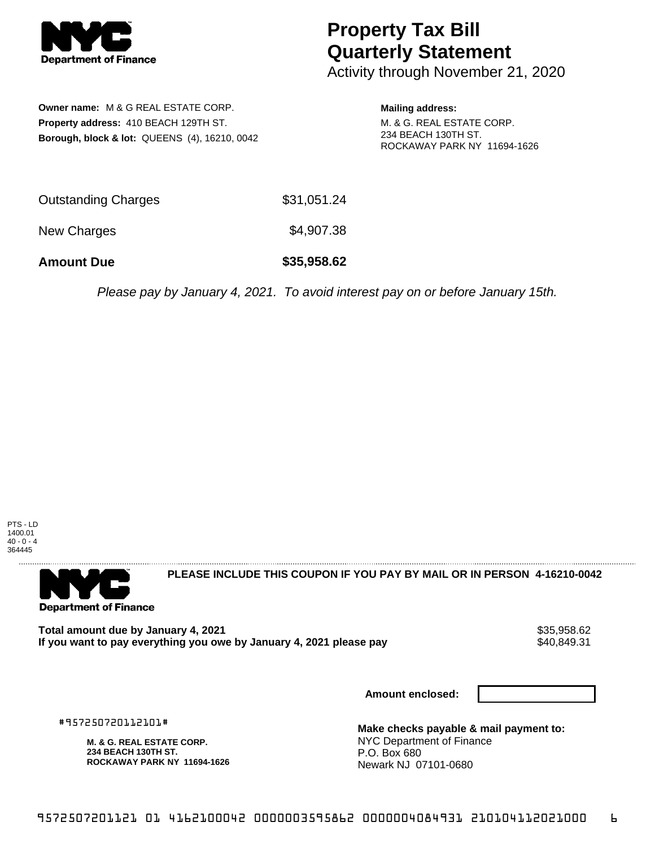

## **Property Tax Bill Quarterly Statement**

Activity through November 21, 2020

**Owner name:** M & G REAL ESTATE CORP. **Property address:** 410 BEACH 129TH ST. **Borough, block & lot:** QUEENS (4), 16210, 0042

**Mailing address:**

M. & G. REAL ESTATE CORP. 234 BEACH 130TH ST. ROCKAWAY PARK NY 11694-1626

| <b>Amount Due</b>          | \$35,958.62 |
|----------------------------|-------------|
| New Charges                | \$4,907.38  |
| <b>Outstanding Charges</b> | \$31,051.24 |

Please pay by January 4, 2021. To avoid interest pay on or before January 15th.





**PLEASE INCLUDE THIS COUPON IF YOU PAY BY MAIL OR IN PERSON 4-16210-0042** 

**Total amount due by January 4, 2021**<br>If you want to pay everything you owe by January 4, 2021 please pay **strategy and the same of the set of the s** If you want to pay everything you owe by January 4, 2021 please pay

**Amount enclosed:**

#957250720112101#

**M. & G. REAL ESTATE CORP. 234 BEACH 130TH ST. ROCKAWAY PARK NY 11694-1626**

**Make checks payable & mail payment to:** NYC Department of Finance P.O. Box 680 Newark NJ 07101-0680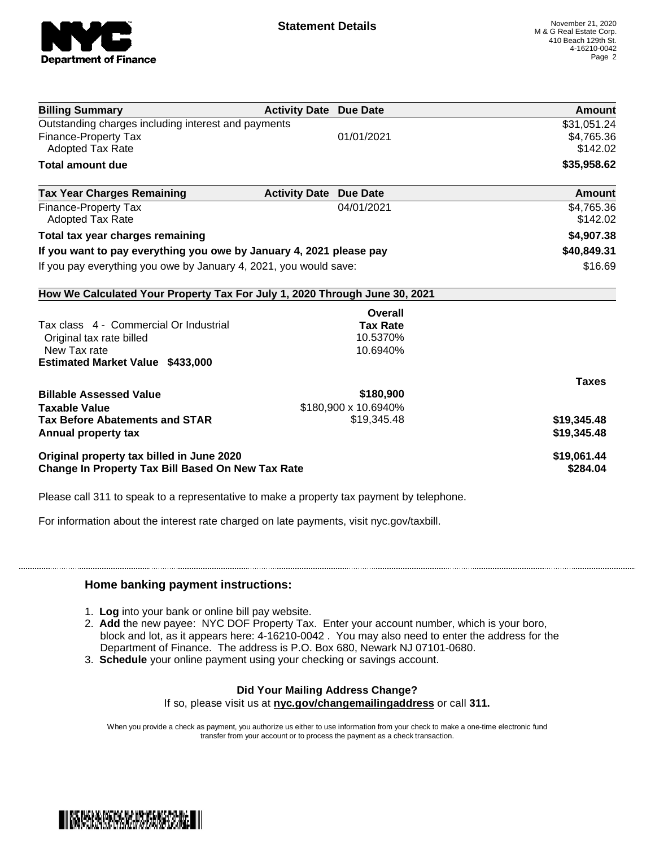

| <b>Billing Summary</b>                                                     | <b>Activity Date Due Date</b> |                      | Amount       |
|----------------------------------------------------------------------------|-------------------------------|----------------------|--------------|
| Outstanding charges including interest and payments                        |                               |                      | \$31,051.24  |
| <b>Finance-Property Tax</b>                                                |                               | 01/01/2021           | \$4,765.36   |
| Adopted Tax Rate                                                           |                               |                      | \$142.02     |
| <b>Total amount due</b>                                                    |                               |                      | \$35,958.62  |
| <b>Tax Year Charges Remaining</b>                                          | <b>Activity Date</b>          | <b>Due Date</b>      | Amount       |
| <b>Finance-Property Tax</b>                                                |                               | 04/01/2021           | \$4,765.36   |
| <b>Adopted Tax Rate</b>                                                    |                               |                      | \$142.02     |
| Total tax year charges remaining                                           |                               |                      | \$4,907.38   |
| If you want to pay everything you owe by January 4, 2021 please pay        |                               | \$40,849.31          |              |
| If you pay everything you owe by January 4, 2021, you would save:          |                               |                      | \$16.69      |
| How We Calculated Your Property Tax For July 1, 2020 Through June 30, 2021 |                               |                      |              |
|                                                                            |                               | Overall              |              |
| Tax class 4 - Commercial Or Industrial                                     |                               | <b>Tax Rate</b>      |              |
| Original tax rate billed                                                   |                               | 10.5370%             |              |
| New Tax rate                                                               |                               | 10.6940%             |              |
| <b>Estimated Market Value \$433,000</b>                                    |                               |                      |              |
|                                                                            |                               |                      | <b>Taxes</b> |
| <b>Billable Assessed Value</b>                                             |                               | \$180,900            |              |
| <b>Taxable Value</b>                                                       |                               | \$180,900 x 10.6940% |              |
| <b>Tax Before Abatements and STAR</b>                                      |                               | \$19,345.48          | \$19,345.48  |
| Annual property tax                                                        |                               |                      | \$19,345.48  |
| Original property tax billed in June 2020                                  |                               |                      | \$19,061.44  |
| <b>Change In Property Tax Bill Based On New Tax Rate</b>                   |                               |                      | \$284.04     |

Please call 311 to speak to a representative to make a property tax payment by telephone.

For information about the interest rate charged on late payments, visit nyc.gov/taxbill.

## **Home banking payment instructions:**

- 1. **Log** into your bank or online bill pay website.
- 2. **Add** the new payee: NYC DOF Property Tax. Enter your account number, which is your boro, block and lot, as it appears here: 4-16210-0042 . You may also need to enter the address for the Department of Finance. The address is P.O. Box 680, Newark NJ 07101-0680.
- 3. **Schedule** your online payment using your checking or savings account.

## **Did Your Mailing Address Change?**

If so, please visit us at **nyc.gov/changemailingaddress** or call **311.**

When you provide a check as payment, you authorize us either to use information from your check to make a one-time electronic fund transfer from your account or to process the payment as a check transaction.